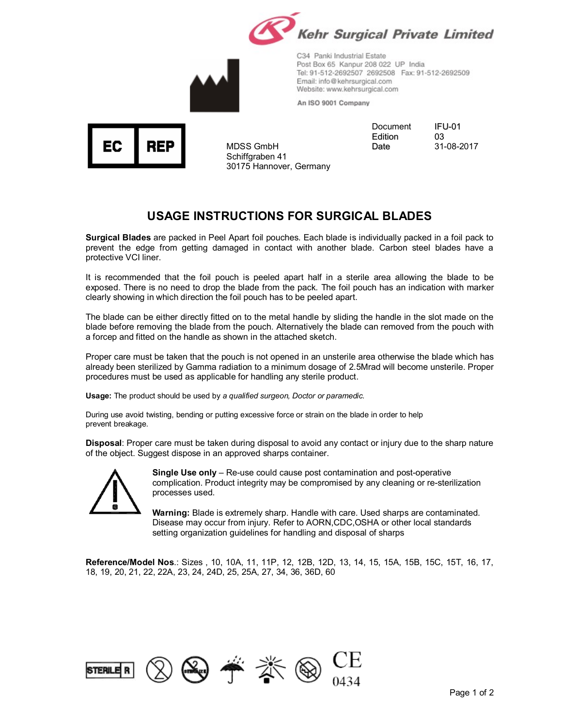

C34 Panki Industrial Estate Post Box 65 Kanpur 208 022 UP India Tel: 91-512-2692507 2692508 Fax: 91-512-2692509 Email: info@kehrsurgical.com Website: www.kehrsurgical.com

An ISO 9001 Company

ЕC REF

MDSS GmbH Schiffgraben 41 30175 Hannover, Germany Document Edition Date

IFU-01 03 31-08-2017

## **USAGE INSTRUCTIONS FOR SURGICAL BLADES**

**Surgical Blades** are packed in Peel Apart foil pouches. Each blade is individually packed in a foil pack to prevent the edge from getting damaged in contact with another blade. Carbon steel blades have a protective VCI liner.

It is recommended that the foil pouch is peeled apart half in a sterile area allowing the blade to be exposed. There is no need to drop the blade from the pack. The foil pouch has an indication with marker clearly showing in which direction the foil pouch has to be peeled apart.

The blade can be either directly fitted on to the metal handle by sliding the handle in the slot made on the blade before removing the blade from the pouch. Alternatively the blade can removed from the pouch with a forcep and fitted on the handle as shown in the attached sketch.

Proper care must be taken that the pouch is not opened in an unsterile area otherwise the blade which has already been sterilized by Gamma radiation to a minimum dosage of 2.5Mrad will become unsterile. Proper procedures must be used as applicable for handling any sterile product.

**Usage:** The product should be used by *a qualified surgeon, Doctor or paramedic.*

During use avoid twisting, bending or putting excessive force or strain on the blade in order to help prevent breakage.

**Disposal**: Proper care must be taken during disposal to avoid any contact or injury due to the sharp nature of the object. Suggest dispose in an approved sharps container.



**Single Use only** – Re-use could cause post contamination and post-operative complication. Product integrity may be compromised by any cleaning or re-sterilization processes used.

**Warning:** Blade is extremely sharp. Handle with care. Used sharps are contaminated. Disease may occur from injury. Refer to AORN,CDC,OSHA or other local standards setting organization guidelines for handling and disposal of sharps

**Reference/Model Nos**.: Sizes , 10, 10A, 11, 11P, 12, 12B, 12D, 13, 14, 15, 15A, 15B, 15C, 15T, 16, 17, 18, 19, 20, 21, 22, 22A, 23, 24, 24D, 25, 25A, 27, 34, 36, 36D, 60